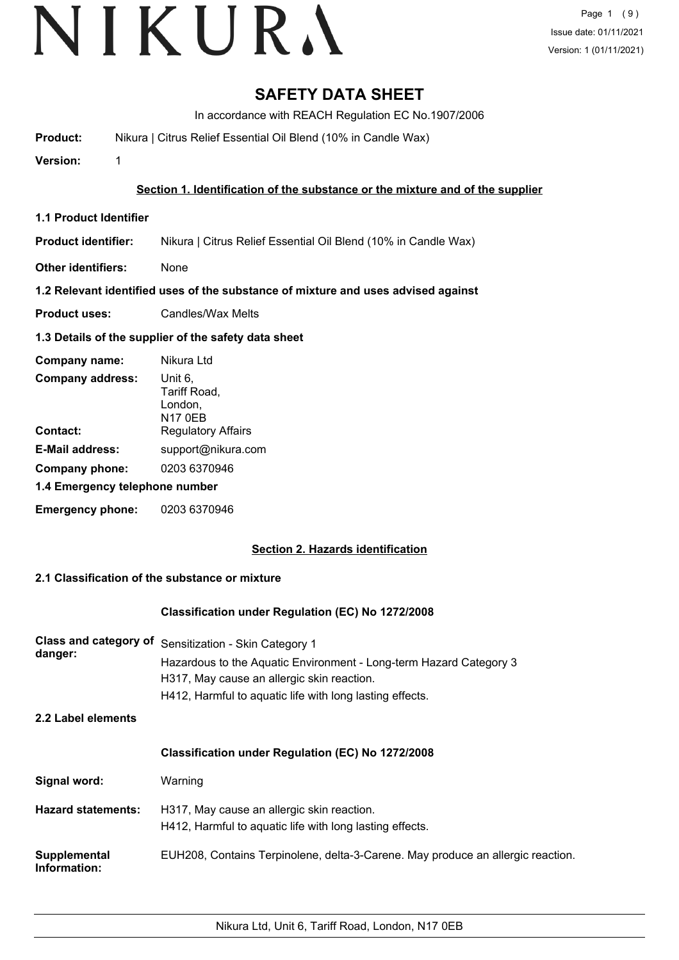### **SAFETY DATA SHEET**

In accordance with REACH Regulation EC No.1907/2006

**Product:** Nikura | Citrus Relief Essential Oil Blend (10% in Candle Wax)

**Version:** 1

#### **Section 1. Identification of the substance or the mixture and of the supplier**

- **1.1 Product Identifier**
- **Product identifier:** Nikura | Citrus Relief Essential Oil Blend (10% in Candle Wax)
- **Other identifiers:** None

#### **1.2 Relevant identified uses of the substance of mixture and uses advised against**

**Product uses:** Candles/Wax Melts

#### **1.3 Details of the supplier of the safety data sheet**

| Company name:                  | Nikura Ltd                                           |
|--------------------------------|------------------------------------------------------|
| <b>Company address:</b>        | Unit 6,<br>Tariff Road,<br>London,<br><b>N17 0EB</b> |
| Contact:                       | <b>Regulatory Affairs</b>                            |
| <b>E-Mail address:</b>         | support@nikura.com                                   |
| Company phone:                 | 0203 6370946                                         |
| 1.4 Emergency telephone number |                                                      |
| <b>Emergency phone:</b>        | 0203 6370946                                         |

#### **Section 2. Hazards identification**

#### **2.1 Classification of the substance or mixture**

#### **Classification under Regulation (EC) No 1272/2008**

| <b>Class and category of</b><br>danger: | Sensitization - Skin Category 1<br>Hazardous to the Aquatic Environment - Long-term Hazard Category 3<br>H317, May cause an allergic skin reaction.<br>H412, Harmful to aquatic life with long lasting effects. |
|-----------------------------------------|-----------------------------------------------------------------------------------------------------------------------------------------------------------------------------------------------------------------|
| 2.2 Label elements                      |                                                                                                                                                                                                                 |
|                                         | <b>Classification under Regulation (EC) No 1272/2008</b>                                                                                                                                                        |
| Signal word:                            | Warning                                                                                                                                                                                                         |
| <b>Hazard statements:</b>               | H317, May cause an allergic skin reaction.<br>H412, Harmful to aquatic life with long lasting effects.                                                                                                          |
| Supplemental<br>Information:            | EUH208, Contains Terpinolene, delta-3-Carene. May produce an allergic reaction.                                                                                                                                 |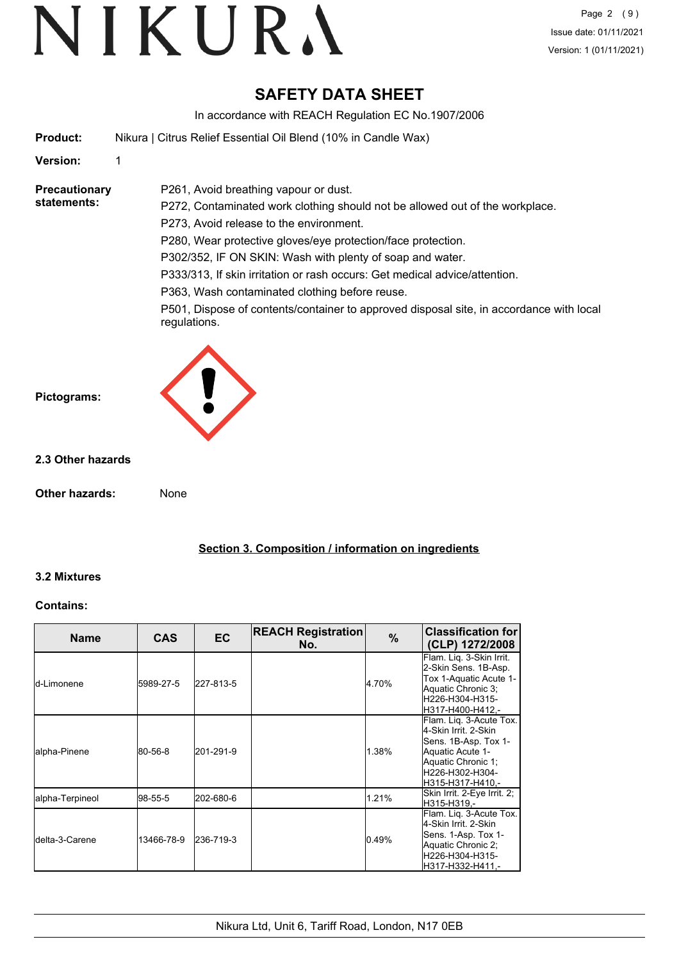### **SAFETY DATA SHEET**

In accordance with REACH Regulation EC No.1907/2006

**Product:** Nikura | Citrus Relief Essential Oil Blend (10% in Candle Wax)

P261, Avoid breathing vapour or dust.

#### **Version:** 1

**Precautionary statements:**

P272, Contaminated work clothing should not be allowed out of the workplace. P273, Avoid release to the environment.

P280, Wear protective gloves/eye protection/face protection.

P302/352, IF ON SKIN: Wash with plenty of soap and water.

P333/313, If skin irritation or rash occurs: Get medical advice/attention.

P363, Wash contaminated clothing before reuse.

P501, Dispose of contents/container to approved disposal site, in accordance with local regulations.



#### **2.3 Other hazards**

**Other hazards:** None

**Section 3. Composition / information on ingredients**

#### **3.2 Mixtures**

#### **Contains:**

| <b>Name</b>             | <b>CAS</b> | <b>EC</b> | <b>REACH Registration</b><br>No. | $\%$  | <b>Classification for</b><br>(CLP) 1272/2008                                                                                                             |
|-------------------------|------------|-----------|----------------------------------|-------|----------------------------------------------------------------------------------------------------------------------------------------------------------|
| <b>I</b> d-Limonene     | 5989-27-5  | 227-813-5 |                                  | 4.70% | Flam. Lig. 3-Skin Irrit.<br>2-Skin Sens. 1B-Asp.<br>Tox 1-Aquatic Acute 1-<br>Aquatic Chronic 3;<br>H226-H304-H315-<br>H317-H400-H412.-                  |
| alpha-Pinene            | 80-56-8    | 201-291-9 |                                  | 1.38% | Flam. Lig. 3-Acute Tox.<br>4-Skin Irrit. 2-Skin<br>Sens. 1B-Asp. Tox 1-<br>Aquatic Acute 1-<br>Aquatic Chronic 1:<br>H226-H302-H304-<br>H315-H317-H410.- |
| alpha-Terpineol         | l98-55-5   | 202-680-6 |                                  | 1.21% | Skin Irrit. 2-Eye Irrit. 2;<br>H315-H319.-                                                                                                               |
| <b>I</b> delta-3-Carene | 13466-78-9 | 236-719-3 |                                  | 0.49% | Flam. Liq. 3-Acute Tox.<br>4-Skin Irrit. 2-Skin<br>Sens. 1-Asp. Tox 1-<br>Aquatic Chronic 2;<br>H226-H304-H315-<br>H317-H332-H411.-                      |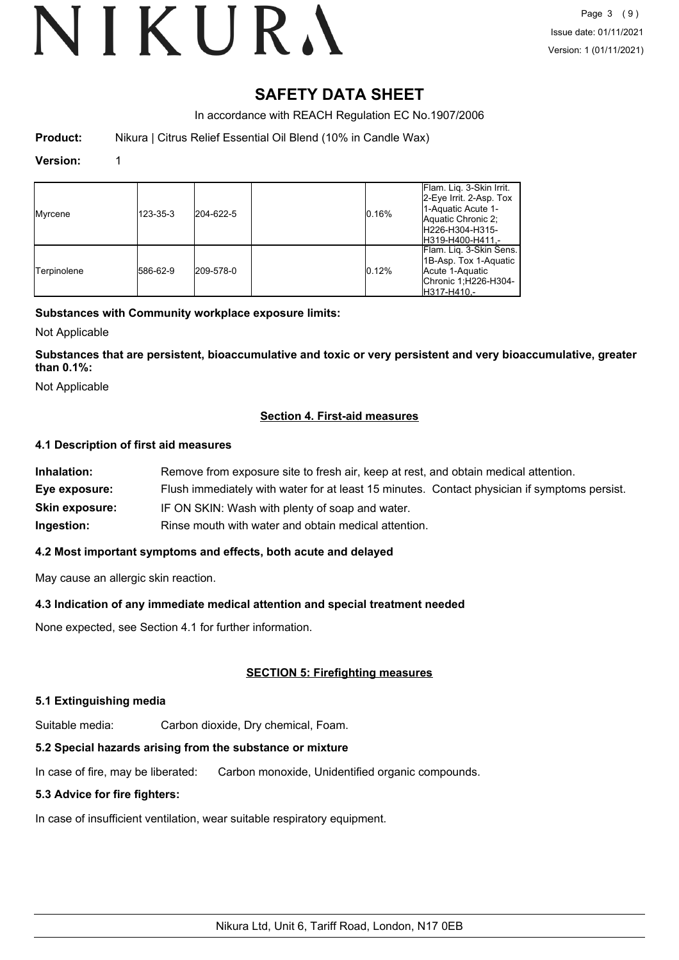### **SAFETY DATA SHEET**

In accordance with REACH Regulation EC No.1907/2006

**Product:** Nikura | Citrus Relief Essential Oil Blend (10% in Candle Wax)

#### **Version:** 1

| Myrcene     | 123-35-3 | 204-622-5 | 0.16% | Flam. Lig. 3-Skin Irrit.<br>2-Eye Irrit. 2-Asp. Tox<br>1-Aquatic Acute 1-<br>Aquatic Chronic 2;<br>H226-H304-H315-<br>H319-H400-H411,- |
|-------------|----------|-----------|-------|----------------------------------------------------------------------------------------------------------------------------------------|
| Terpinolene | 586-62-9 | 209-578-0 | 0.12% | Flam. Lig. 3-Skin Sens.<br>1B-Asp. Tox 1-Aquatic<br>Acute 1-Aquatic<br>Chronic 1; H226-H304-<br>H317-H410.-                            |

#### **Substances with Community workplace exposure limits:**

Not Applicable

**Substances that are persistent, bioaccumulative and toxic or very persistent and very bioaccumulative, greater than 0.1%:**

Not Applicable

#### **Section 4. First-aid measures**

#### **4.1 Description of first aid measures**

| Inhalation:           | Remove from exposure site to fresh air, keep at rest, and obtain medical attention.          |
|-----------------------|----------------------------------------------------------------------------------------------|
| Eye exposure:         | Flush immediately with water for at least 15 minutes. Contact physician if symptoms persist. |
| <b>Skin exposure:</b> | IF ON SKIN: Wash with plenty of soap and water.                                              |
| Ingestion:            | Rinse mouth with water and obtain medical attention.                                         |

#### **4.2 Most important symptoms and effects, both acute and delayed**

May cause an allergic skin reaction.

#### **4.3 Indication of any immediate medical attention and special treatment needed**

None expected, see Section 4.1 for further information.

#### **SECTION 5: Firefighting measures**

#### **5.1 Extinguishing media**

Suitable media: Carbon dioxide, Dry chemical, Foam.

#### **5.2 Special hazards arising from the substance or mixture**

In case of fire, may be liberated: Carbon monoxide, Unidentified organic compounds.

#### **5.3 Advice for fire fighters:**

In case of insufficient ventilation, wear suitable respiratory equipment.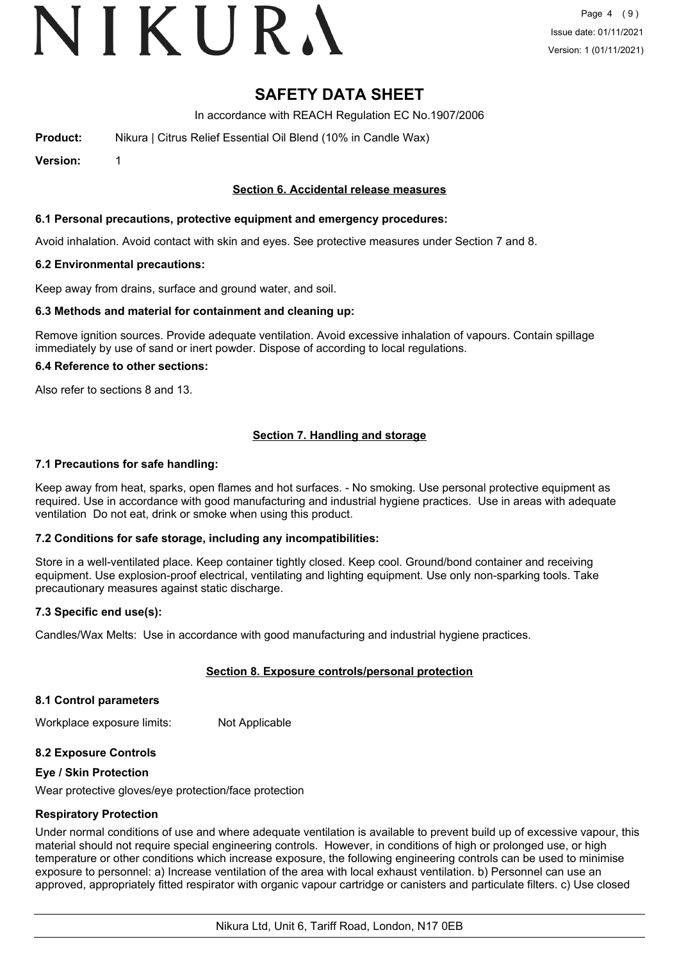## VIKURA

### **SAFETY DATA SHEET**

In accordance with REACH Regulation EC No.1907/2006

**Product:** Nikura | Citrus Relief Essential Oil Blend (10% in Candle Wax)

**Version:** 1

#### **Section 6. Accidental release measures**

#### **6.1 Personal precautions, protective equipment and emergency procedures:**

Avoid inhalation. Avoid contact with skin and eyes. See protective measures under Section 7 and 8.

#### **6.2 Environmental precautions:**

Keep away from drains, surface and ground water, and soil.

#### **6.3 Methods and material for containment and cleaning up:**

Remove ignition sources. Provide adequate ventilation. Avoid excessive inhalation of vapours. Contain spillage immediately by use of sand or inert powder. Dispose of according to local regulations.

#### **6.4 Reference to other sections:**

Also refer to sections 8 and 13.

#### **Section 7. Handling and storage**

#### **7.1 Precautions for safe handling:**

Keep away from heat, sparks, open flames and hot surfaces. - No smoking. Use personal protective equipment as required. Use in accordance with good manufacturing and industrial hygiene practices. Use in areas with adequate ventilation Do not eat, drink or smoke when using this product.

#### **7.2 Conditions for safe storage, including any incompatibilities:**

Store in a well-ventilated place. Keep container tightly closed. Keep cool. Ground/bond container and receiving equipment. Use explosion-proof electrical, ventilating and lighting equipment. Use only non-sparking tools. Take precautionary measures against static discharge.

#### **7.3 Specific end use(s):**

Candles/Wax Melts: Use in accordance with good manufacturing and industrial hygiene practices.

#### **Section 8. Exposure controls/personal protection**

#### **8.1 Control parameters**

Workplace exposure limits: Not Applicable

#### **8.2 Exposure Controls**

#### **Eye / Skin Protection**

Wear protective gloves/eye protection/face protection

#### **Respiratory Protection**

Under normal conditions of use and where adequate ventilation is available to prevent build up of excessive vapour, this material should not require special engineering controls. However, in conditions of high or prolonged use, or high temperature or other conditions which increase exposure, the following engineering controls can be used to minimise exposure to personnel: a) Increase ventilation of the area with local exhaust ventilation. b) Personnel can use an approved, appropriately fitted respirator with organic vapour cartridge or canisters and particulate filters. c) Use closed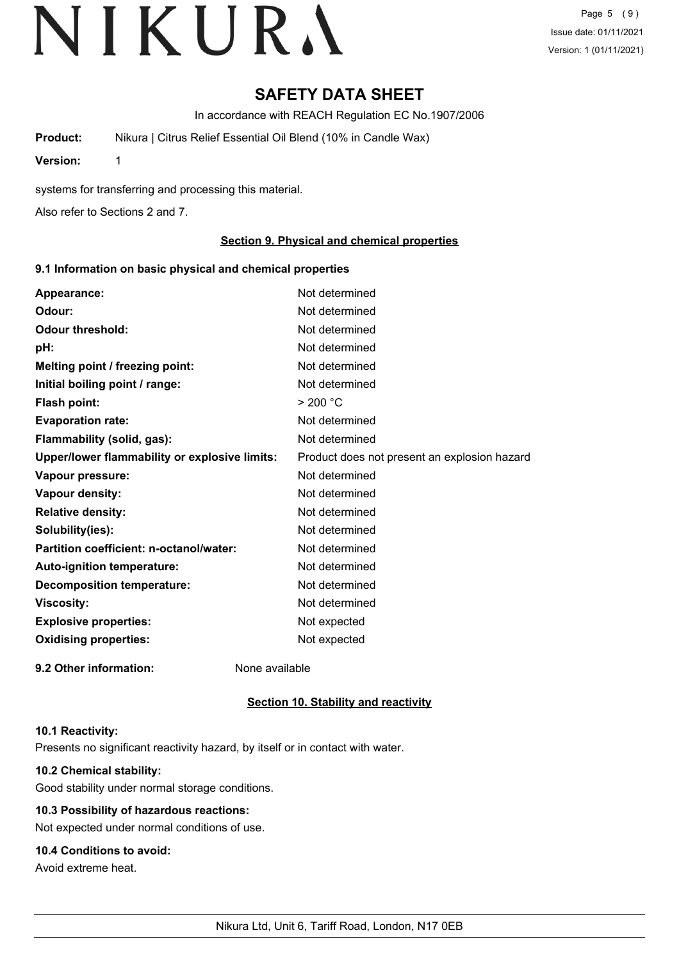Page 5 (9) Issue date: 01/11/2021 Version: 1 (01/11/2021)

### **SAFETY DATA SHEET**

In accordance with REACH Regulation EC No.1907/2006

**Product:** Nikura | Citrus Relief Essential Oil Blend (10% in Candle Wax)

**Version:** 1

systems for transferring and processing this material.

Also refer to Sections 2 and 7.

#### **Section 9. Physical and chemical properties**

#### **9.1 Information on basic physical and chemical properties**

| Appearance:                                   | Not determined                               |
|-----------------------------------------------|----------------------------------------------|
| Odour:                                        | Not determined                               |
| <b>Odour threshold:</b>                       | Not determined                               |
| pH:                                           | Not determined                               |
| Melting point / freezing point:               | Not determined                               |
| Initial boiling point / range:                | Not determined                               |
| Flash point:                                  | $>$ 200 °C                                   |
| <b>Evaporation rate:</b>                      | Not determined                               |
| Flammability (solid, gas):                    | Not determined                               |
| Upper/lower flammability or explosive limits: | Product does not present an explosion hazard |
| Vapour pressure:                              | Not determined                               |
| Vapour density:                               | Not determined                               |
| <b>Relative density:</b>                      | Not determined                               |
| Solubility(ies):                              | Not determined                               |
| Partition coefficient: n-octanol/water:       | Not determined                               |
| Auto-ignition temperature:                    | Not determined                               |
| <b>Decomposition temperature:</b>             | Not determined                               |
| <b>Viscosity:</b>                             | Not determined                               |
| <b>Explosive properties:</b>                  | Not expected                                 |
| <b>Oxidising properties:</b>                  | Not expected                                 |
| 9.2 Other information:                        | None available                               |

#### **Section 10. Stability and reactivity**

#### **10.1 Reactivity:**

Presents no significant reactivity hazard, by itself or in contact with water.

#### **10.2 Chemical stability:**

Good stability under normal storage conditions.

#### **10.3 Possibility of hazardous reactions:**

Not expected under normal conditions of use.

#### **10.4 Conditions to avoid:**

Avoid extreme heat.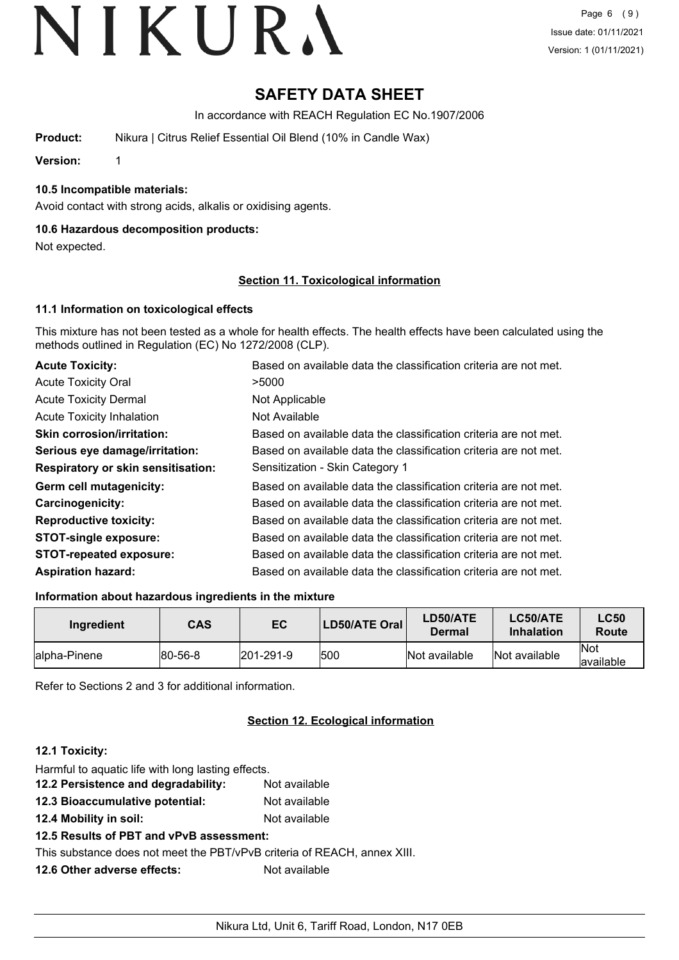### **SAFETY DATA SHEET**

In accordance with REACH Regulation EC No.1907/2006

**Product:** Nikura | Citrus Relief Essential Oil Blend (10% in Candle Wax)

**Version:** 1

#### **10.5 Incompatible materials:**

Avoid contact with strong acids, alkalis or oxidising agents.

#### **10.6 Hazardous decomposition products:**

Not expected.

#### **Section 11. Toxicological information**

#### **11.1 Information on toxicological effects**

This mixture has not been tested as a whole for health effects. The health effects have been calculated using the methods outlined in Regulation (EC) No 1272/2008 (CLP).

| <b>Acute Toxicity:</b>                    | Based on available data the classification criteria are not met. |
|-------------------------------------------|------------------------------------------------------------------|
| <b>Acute Toxicity Oral</b>                | >5000                                                            |
| <b>Acute Toxicity Dermal</b>              | Not Applicable                                                   |
| <b>Acute Toxicity Inhalation</b>          | Not Available                                                    |
| <b>Skin corrosion/irritation:</b>         | Based on available data the classification criteria are not met. |
| Serious eye damage/irritation:            | Based on available data the classification criteria are not met. |
| <b>Respiratory or skin sensitisation:</b> | Sensitization - Skin Category 1                                  |
| Germ cell mutagenicity:                   | Based on available data the classification criteria are not met. |
| <b>Carcinogenicity:</b>                   | Based on available data the classification criteria are not met. |
| <b>Reproductive toxicity:</b>             | Based on available data the classification criteria are not met. |
| <b>STOT-single exposure:</b>              | Based on available data the classification criteria are not met. |
| <b>STOT-repeated exposure:</b>            | Based on available data the classification criteria are not met. |
| <b>Aspiration hazard:</b>                 | Based on available data the classification criteria are not met. |

#### **Information about hazardous ingredients in the mixture**

| Ingredient    | <b>CAS</b>     | EC                | LD50/ATE Oral | LD50/ATE<br><b>Dermal</b> | LC50/ATE<br><b>Inhalation</b> | <b>LC50</b><br>Route |
|---------------|----------------|-------------------|---------------|---------------------------|-------------------------------|----------------------|
| lalpha-Pinene | $ 80 - 56 - 8$ | $ 201 - 291 - 9 $ | 1500          | Not available             | Not available                 | lNot<br>available    |

Refer to Sections 2 and 3 for additional information.

#### **Section 12. Ecological information**

#### **12.1 Toxicity:**

| Harmful to aquatic life with long lasting effects.                       |               |
|--------------------------------------------------------------------------|---------------|
| 12.2 Persistence and degradability:                                      | Not available |
| 12.3 Bioaccumulative potential:                                          | Not available |
| 12.4 Mobility in soil:                                                   | Not available |
| 12.5 Results of PBT and vPvB assessment:                                 |               |
| This substance does not meet the PBT/vPvB criteria of REACH, annex XIII. |               |
| 12.6 Other adverse effects:                                              | Not available |
|                                                                          |               |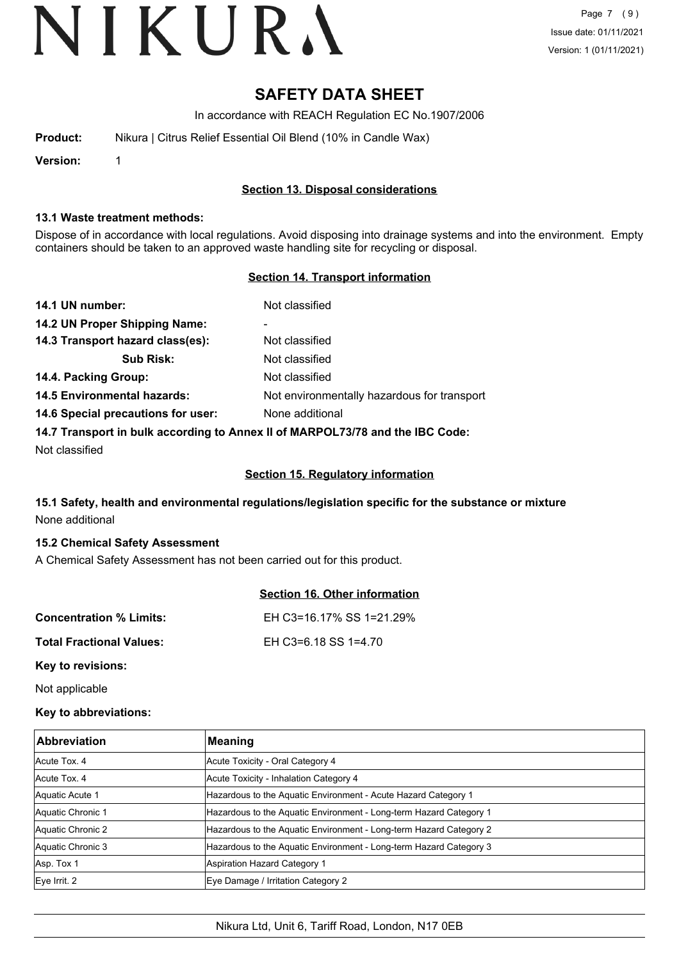### **SAFETY DATA SHEET**

In accordance with REACH Regulation EC No.1907/2006

| Nikura   Citrus Relief Essential Oil Blend (10% in Candle Wax) |
|----------------------------------------------------------------|
|                                                                |

**Version:** 1

#### **Section 13. Disposal considerations**

#### **13.1 Waste treatment methods:**

Dispose of in accordance with local regulations. Avoid disposing into drainage systems and into the environment. Empty containers should be taken to an approved waste handling site for recycling or disposal.

#### **Section 14. Transport information**

| 14.1 UN number:                                                               | Not classified                              |
|-------------------------------------------------------------------------------|---------------------------------------------|
| 14.2 UN Proper Shipping Name:                                                 | ۰                                           |
| 14.3 Transport hazard class(es):                                              | Not classified                              |
| <b>Sub Risk:</b>                                                              | Not classified                              |
| 14.4. Packing Group:                                                          | Not classified                              |
| <b>14.5 Environmental hazards:</b>                                            | Not environmentally hazardous for transport |
| 14.6 Special precautions for user:                                            | None additional                             |
| 14.7 Transport in bulk according to Annex II of MARPOL73/78 and the IBC Code: |                                             |

Not classified

#### **Section 15. Regulatory information**

#### **15.1 Safety, health and environmental regulations/legislation specific for the substance or mixture** None additional

#### **15.2 Chemical Safety Assessment**

A Chemical Safety Assessment has not been carried out for this product.

|                                 | Section 16. Other information |
|---------------------------------|-------------------------------|
| <b>Concentration % Limits:</b>  | EH C3=16.17% SS 1=21.29%      |
| <b>Total Fractional Values:</b> | EH C3=6.18 SS 1=4.70          |
| Key to revisions:               |                               |

Not applicable

#### **Key to abbreviations:**

| <b>Abbreviation</b> | Meaning                                                            |
|---------------------|--------------------------------------------------------------------|
| Acute Tox, 4        | Acute Toxicity - Oral Category 4                                   |
| Acute Tox, 4        | Acute Toxicity - Inhalation Category 4                             |
| Aquatic Acute 1     | Hazardous to the Aquatic Environment - Acute Hazard Category 1     |
| Aquatic Chronic 1   | Hazardous to the Aquatic Environment - Long-term Hazard Category 1 |
| Aquatic Chronic 2   | Hazardous to the Aquatic Environment - Long-term Hazard Category 2 |
| Aquatic Chronic 3   | Hazardous to the Aquatic Environment - Long-term Hazard Category 3 |
| Asp. Tox 1          | Aspiration Hazard Category 1                                       |
| $Eye$ Irrit. 2      | Eye Damage / Irritation Category 2                                 |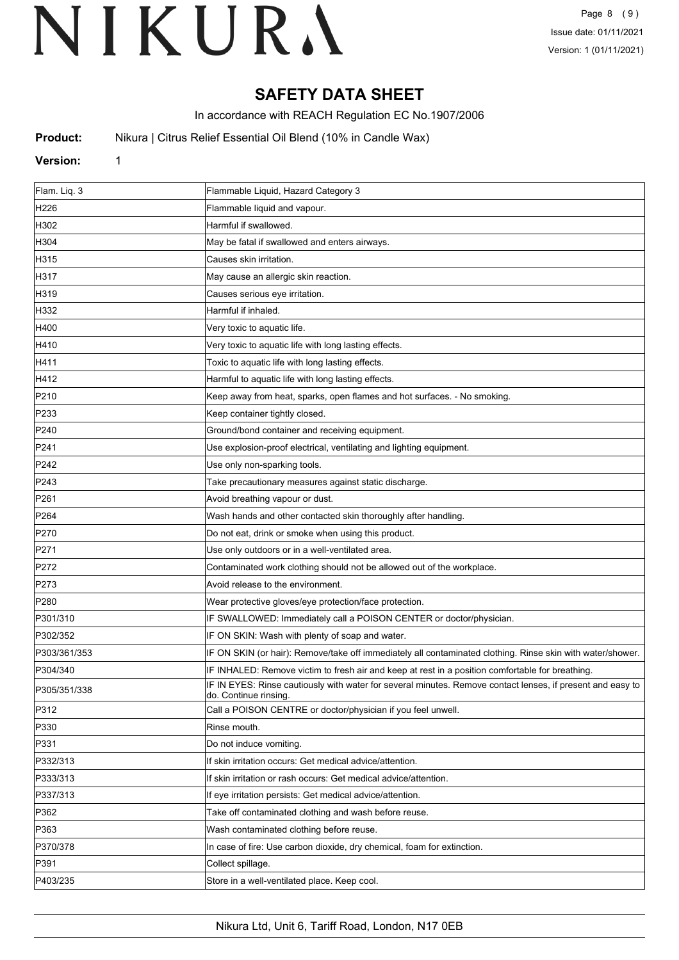### **SAFETY DATA SHEET**

In accordance with REACH Regulation EC No.1907/2006

**Product:** Nikura | Citrus Relief Essential Oil Blend (10% in Candle Wax)

#### **Version:** 1

| Flam. Liq. 3     | Flammable Liquid, Hazard Category 3                                                                                                 |
|------------------|-------------------------------------------------------------------------------------------------------------------------------------|
| H <sub>226</sub> | Flammable liquid and vapour.                                                                                                        |
| H302             | Harmful if swallowed.                                                                                                               |
| H304             | May be fatal if swallowed and enters airways.                                                                                       |
| H315             | Causes skin irritation.                                                                                                             |
| H317             | May cause an allergic skin reaction.                                                                                                |
| H319             | Causes serious eye irritation.                                                                                                      |
| H332             | Harmful if inhaled.                                                                                                                 |
| H400             | Very toxic to aquatic life.                                                                                                         |
| H410             | Very toxic to aquatic life with long lasting effects.                                                                               |
| H411             | Toxic to aquatic life with long lasting effects.                                                                                    |
| H412             | Harmful to aquatic life with long lasting effects.                                                                                  |
| P210             | Keep away from heat, sparks, open flames and hot surfaces. - No smoking.                                                            |
| P233             | Keep container tightly closed.                                                                                                      |
| P240             | Ground/bond container and receiving equipment.                                                                                      |
| P241             | Use explosion-proof electrical, ventilating and lighting equipment.                                                                 |
| P242             | Use only non-sparking tools.                                                                                                        |
| P243             | Take precautionary measures against static discharge.                                                                               |
| P261             | Avoid breathing vapour or dust.                                                                                                     |
| P <sub>264</sub> | Wash hands and other contacted skin thoroughly after handling.                                                                      |
| P270             | Do not eat, drink or smoke when using this product.                                                                                 |
| P271             | Use only outdoors or in a well-ventilated area.                                                                                     |
| P272             | Contaminated work clothing should not be allowed out of the workplace.                                                              |
| P273             | Avoid release to the environment.                                                                                                   |
| P280             | Wear protective gloves/eye protection/face protection.                                                                              |
| P301/310         | IF SWALLOWED: Immediately call a POISON CENTER or doctor/physician.                                                                 |
| P302/352         | IF ON SKIN: Wash with plenty of soap and water.                                                                                     |
| P303/361/353     | IF ON SKIN (or hair): Remove/take off immediately all contaminated clothing. Rinse skin with water/shower.                          |
| P304/340         | IF INHALED: Remove victim to fresh air and keep at rest in a position comfortable for breathing.                                    |
| P305/351/338     | IF IN EYES: Rinse cautiously with water for several minutes. Remove contact lenses, if present and easy to<br>do. Continue rinsing. |
| P312             | Call a POISON CENTRE or doctor/physician if you feel unwell.                                                                        |
| P330             | Rinse mouth.                                                                                                                        |
| P331             | Do not induce vomiting.                                                                                                             |
| P332/313         | If skin irritation occurs: Get medical advice/attention.                                                                            |
| P333/313         | If skin irritation or rash occurs: Get medical advice/attention.                                                                    |
| P337/313         | If eye irritation persists: Get medical advice/attention.                                                                           |
| P362             | Take off contaminated clothing and wash before reuse.                                                                               |
| P363             | Wash contaminated clothing before reuse.                                                                                            |
| P370/378         | In case of fire: Use carbon dioxide, dry chemical, foam for extinction.                                                             |
| P391             | Collect spillage.                                                                                                                   |
| P403/235         | Store in a well-ventilated place. Keep cool.                                                                                        |